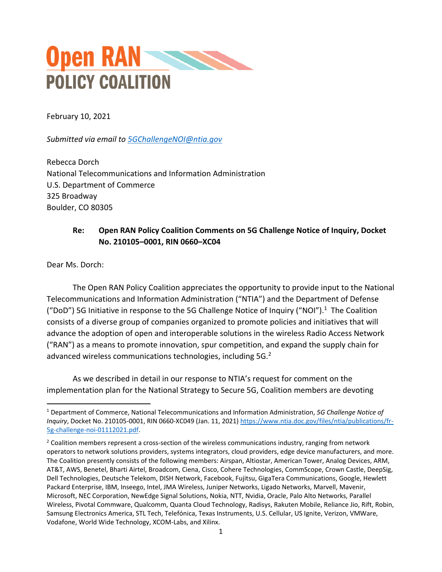

February 10, 2021

*Submitted via email to [5GChallengeNOI@ntia.gov](mailto:5GChallengeNOI@ntia.gov)*

Rebecca Dorch National Telecommunications and Information Administration U.S. Department of Commerce 325 Broadway Boulder, CO 80305

## **Re: Open RAN Policy Coalition Comments on 5G Challenge Notice of Inquiry, Docket No. 210105–0001, RIN 0660–XC04**

Dear Ms. Dorch:

The Open RAN Policy Coalition appreciates the opportunity to provide input to the National Telecommunications and Information Administration ("NTIA") and the Department of Defense ("DoD") 5G Initiative in response to the 5G Challenge Notice of Inquiry ("NOI"). <sup>1</sup> The Coalition consists of a diverse group of companies organized to promote policies and initiatives that will advance the adoption of open and interoperable solutions in the wireless Radio Access Network ("RAN") as a means to promote innovation, spur competition, and expand the supply chain for advanced wireless communications technologies, including 5G. $2$ 

As we described in detail in our response to NTIA's request for comment on the implementation plan for the National Strategy to Secure 5G, Coalition members are devoting

<sup>1</sup> Department of Commerce, National Telecommunications and Information Administration, *5G Challenge Notice of Inquiry*, Docket No. 210105-0001, RIN 0660-XC049 (Jan. 11, 2021) [https://www.ntia.doc.gov/files/ntia/publications/fr-](https://www.ntia.doc.gov/files/ntia/publications/fr-5g-challenge-noi-01112021.pdf)[5g-challenge-noi-01112021.pdf.](https://www.ntia.doc.gov/files/ntia/publications/fr-5g-challenge-noi-01112021.pdf)

 $<sup>2</sup>$  Coalition members represent a cross-section of the wireless communications industry, ranging from network</sup> operators to network solutions providers, systems integrators, cloud providers, edge device manufacturers, and more. The Coalition presently consists of the following members: Airspan, Altiostar, American Tower, Analog Devices, ARM, AT&T, AWS, Benetel, Bharti Airtel, Broadcom, Ciena, Cisco, Cohere Technologies, CommScope, Crown Castle, DeepSig, Dell Technologies, Deutsche Telekom, DISH Network, Facebook, Fujitsu, GigaTera Communications, Google, Hewlett Packard Enterprise, IBM, Inseego, Intel, JMA Wireless, Juniper Networks, Ligado Networks, Marvell, Mavenir, Microsoft, NEC Corporation, NewEdge Signal Solutions, Nokia, NTT, Nvidia, Oracle, Palo Alto Networks, Parallel Wireless, Pivotal Commware, Qualcomm, Quanta Cloud Technology, Radisys, Rakuten Mobile, Reliance Jio, Rift, Robin, Samsung Electronics America, STL Tech, Telefónica, Texas Instruments, U.S. Cellular, US Ignite, Verizon, VMWare, Vodafone, World Wide Technology, XCOM-Labs, and Xilinx.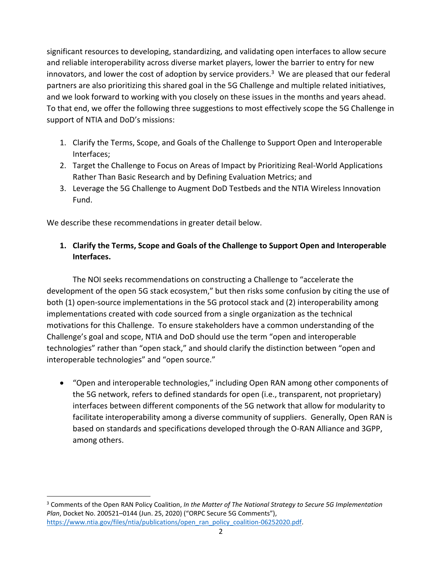significant resources to developing, standardizing, and validating open interfaces to allow secure and reliable interoperability across diverse market players, lower the barrier to entry for new innovators, and lower the cost of adoption by service providers.<sup>3</sup> We are pleased that our federal partners are also prioritizing this shared goal in the 5G Challenge and multiple related initiatives, and we look forward to working with you closely on these issues in the months and years ahead. To that end, we offer the following three suggestions to most effectively scope the 5G Challenge in support of NTIA and DoD's missions:

- 1. Clarify the Terms, Scope, and Goals of the Challenge to Support Open and Interoperable Interfaces;
- 2. Target the Challenge to Focus on Areas of Impact by Prioritizing Real-World Applications Rather Than Basic Research and by Defining Evaluation Metrics; and
- 3. Leverage the 5G Challenge to Augment DoD Testbeds and the NTIA Wireless Innovation Fund.

We describe these recommendations in greater detail below.

 $\overline{a}$ 

## **1. Clarify the Terms, Scope and Goals of the Challenge to Support Open and Interoperable Interfaces.**

The NOI seeks recommendations on constructing a Challenge to "accelerate the development of the open 5G stack ecosystem," but then risks some confusion by citing the use of both (1) open-source implementations in the 5G protocol stack and (2) interoperability among implementations created with code sourced from a single organization as the technical motivations for this Challenge. To ensure stakeholders have a common understanding of the Challenge's goal and scope, NTIA and DoD should use the term "open and interoperable technologies" rather than "open stack," and should clarify the distinction between "open and interoperable technologies" and "open source."

• "Open and interoperable technologies," including Open RAN among other components of the 5G network, refers to defined standards for open (i.e., transparent, not proprietary) interfaces between different components of the 5G network that allow for modularity to facilitate interoperability among a diverse community of suppliers. Generally, Open RAN is based on standards and specifications developed through the O-RAN Alliance and 3GPP, among others.

<sup>3</sup> Comments of the Open RAN Policy Coalition, *In the Matter of The National Strategy to Secure 5G Implementation Plan*, Docket No. 200521–0144 (Jun. 25, 2020) ("ORPC Secure 5G Comments"), [https://www.ntia.gov/files/ntia/publications/open\\_ran\\_policy\\_coalition-06252020.pdf.](https://www.ntia.gov/files/ntia/publications/open_ran_policy_coalition-06252020.pdf)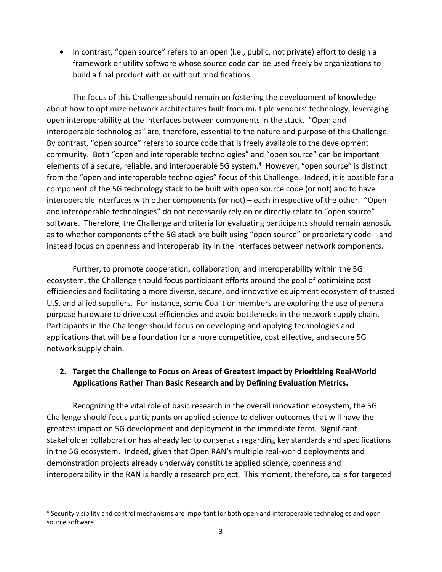• In contrast, "open source" refers to an open (i.e., public, not private) effort to design a framework or utility software whose source code can be used freely by organizations to build a final product with or without modifications.

The focus of this Challenge should remain on fostering the development of knowledge about how to optimize network architectures built from multiple vendors' technology, leveraging open interoperability at the interfaces between components in the stack. "Open and interoperable technologies" are, therefore, essential to the nature and purpose of this Challenge. By contrast, "open source" refers to source code that is freely available to the development community. Both "open and interoperable technologies" and "open source" can be important elements of a secure, reliable, and interoperable 5G system.<sup>4</sup> However, "open source" is distinct from the "open and interoperable technologies" focus of this Challenge. Indeed, it is possible for a component of the 5G technology stack to be built with open source code (or not) and to have interoperable interfaces with other components (or not) – each irrespective of the other. "Open and interoperable technologies" do not necessarily rely on or directly relate to "open source" software. Therefore, the Challenge and criteria for evaluating participants should remain agnostic as to whether components of the 5G stack are built using "open source" or proprietary code—and instead focus on openness and interoperability in the interfaces between network components.

Further, to promote cooperation, collaboration, and interoperability within the 5G ecosystem, the Challenge should focus participant efforts around the goal of optimizing cost efficiencies and facilitating a more diverse, secure, and innovative equipment ecosystem of trusted U.S. and allied suppliers. For instance, some Coalition members are exploring the use of general purpose hardware to drive cost efficiencies and avoid bottlenecks in the network supply chain. Participants in the Challenge should focus on developing and applying technologies and applications that will be a foundation for a more competitive, cost effective, and secure 5G network supply chain.

## **2. Target the Challenge to Focus on Areas of Greatest Impact by Prioritizing Real-World Applications Rather Than Basic Research and by Defining Evaluation Metrics.**

Recognizing the vital role of basic research in the overall innovation ecosystem, the 5G Challenge should focus participants on applied science to deliver outcomes that will have the greatest impact on 5G development and deployment in the immediate term. Significant stakeholder collaboration has already led to consensus regarding key standards and specifications in the 5G ecosystem. Indeed, given that Open RAN's multiple real-world deployments and demonstration projects already underway constitute applied science, openness and interoperability in the RAN is hardly a research project. This moment, therefore, calls for targeted

 $\ddot{\phantom{a}}$ 

<sup>&</sup>lt;sup>4</sup> Security visibility and control mechanisms are important for both open and interoperable technologies and open source software.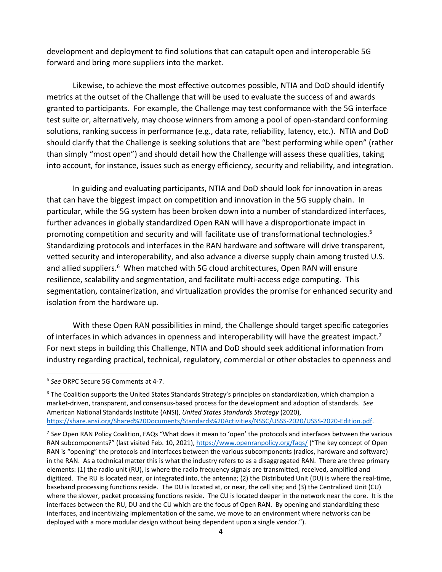development and deployment to find solutions that can catapult open and interoperable 5G forward and bring more suppliers into the market.

Likewise, to achieve the most effective outcomes possible, NTIA and DoD should identify metrics at the outset of the Challenge that will be used to evaluate the success of and awards granted to participants. For example, the Challenge may test conformance with the 5G interface test suite or, alternatively, may choose winners from among a pool of open-standard conforming solutions, ranking success in performance (e.g., data rate, reliability, latency, etc.). NTIA and DoD should clarify that the Challenge is seeking solutions that are "best performing while open" (rather than simply "most open") and should detail how the Challenge will assess these qualities, taking into account, for instance, issues such as energy efficiency, security and reliability, and integration.

In guiding and evaluating participants, NTIA and DoD should look for innovation in areas that can have the biggest impact on competition and innovation in the 5G supply chain. In particular, while the 5G system has been broken down into a number of standardized interfaces, further advances in globally standardized Open RAN will have a disproportionate impact in promoting competition and security and will facilitate use of transformational technologies.<sup>5</sup> Standardizing protocols and interfaces in the RAN hardware and software will drive transparent, vetted security and interoperability, and also advance a diverse supply chain among trusted U.S. and allied suppliers.<sup>6</sup> When matched with 5G cloud architectures, Open RAN will ensure resilience, scalability and segmentation, and facilitate multi-access edge computing. This segmentation, containerization, and virtualization provides the promise for enhanced security and isolation from the hardware up.

With these Open RAN possibilities in mind, the Challenge should target specific categories of interfaces in which advances in openness and interoperability will have the greatest impact.<sup>7</sup> For next steps in building this Challenge, NTIA and DoD should seek additional information from industry regarding practical, technical, regulatory, commercial or other obstacles to openness and

 $\ddot{\phantom{a}}$ 

<sup>5</sup> *See* ORPC Secure 5G Comments at 4-7.

 $6$  The Coalition supports the United States Standards Strategy's principles on standardization, which champion a market-driven, transparent, and consensus-based process for the development and adoption of standards. *See* American National Standards Institute (ANSI), *United States Standards Strategy* (2020), [https://share.ansi.org/Shared%20Documents/Standards%20Activities/NSSC/USSS-2020/USSS-2020-Edition.pdf.](https://share.ansi.org/Shared%20Documents/Standards%20Activities/NSSC/USSS-2020/USSS-2020-Edition.pdf)

<sup>7</sup> *See* Open RAN Policy Coalition, FAQs "What does it mean to 'open' the protocols and interfaces between the various RAN subcomponents?" (last visited Feb. 10, 2021),<https://www.openranpolicy.org/faqs/> ("The key concept of Open RAN is "opening" the protocols and interfaces between the various subcomponents (radios, hardware and software) in the RAN. As a technical matter this is what the industry refers to as a disaggregated RAN. There are three primary elements: (1) the radio unit (RU), is where the radio frequency signals are transmitted, received, amplified and digitized. The RU is located near, or integrated into, the antenna; (2) the Distributed Unit (DU) is where the real-time, baseband processing functions reside. The DU is located at, or near, the cell site; and (3) the Centralized Unit (CU) where the slower, packet processing functions reside. The CU is located deeper in the network near the core. It is the interfaces between the RU, DU and the CU which are the focus of Open RAN. By opening and standardizing these interfaces, and incentivizing implementation of the same, we move to an environment where networks can be deployed with a more modular design without being dependent upon a single vendor.").